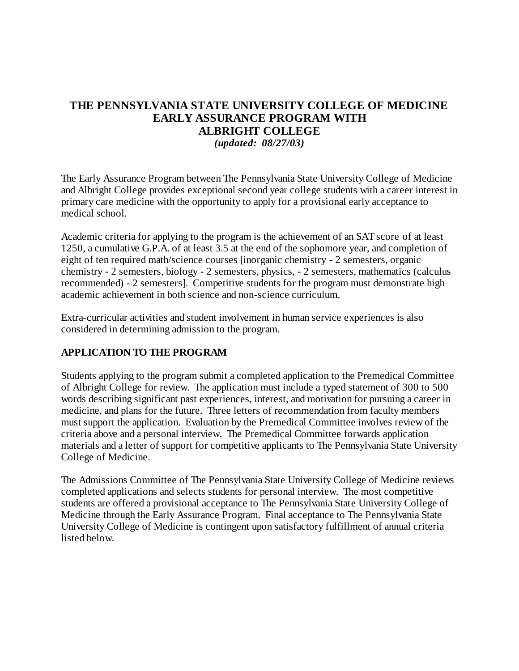# **THE PENNSYLVANIA STATE UNIVERSITY COLLEGE OF MEDICINE EARLY ASSURANCE PROGRAM WITH ALBRIGHT COLLEGE**

*(updated: 08/27/03)*

The Early Assurance Program between The Pennsylvania State University College of Medicine and Albright College provides exceptional second year college students with a career interest in primary care medicine with the opportunity to apply for a provisional early acceptance to medical school.

Academic criteria for applying to the program is the achievement of an SAT score of at least 1250, a cumulative G.P.A. of at least 3.5 at the end of the sophomore year, and completion of eight of ten required math/science courses [inorganic chemistry - 2 semesters, organic chemistry - 2 semesters, biology - 2 semesters, physics, - 2 semesters, mathematics (calculus recommended) - 2 semesters]. Competitive students for the program must demonstrate high academic achievement in both science and non-science curriculum.

Extra-curricular activities and student involvement in human service experiences is also considered in determining admission to the program.

## **APPLICATION TO THE PROGRAM**

Students applying to the program submit a completed application to the Premedical Committee of Albright College for review. The application must include a typed statement of 300 to 500 words describing significant past experiences, interest, and motivation for pursuing a career in medicine, and plans for the future. Three letters of recommendation from faculty members must support the application. Evaluation by the Premedical Committee involves review of the criteria above and a personal interview. The Premedical Committee forwards application materials and a letter of support for competitive applicants to The Pennsylvania State University College of Medicine.

The Admissions Committee of The Pennsylvania State University College of Medicine reviews completed applications and selects students for personal interview. The most competitive students are offered a provisional acceptance to The Pennsylvania State University College of Medicine through the Early Assurance Program. Final acceptance to The Pennsylvania State University College of Medicine is contingent upon satisfactory fulfillment of annual criteria listed below.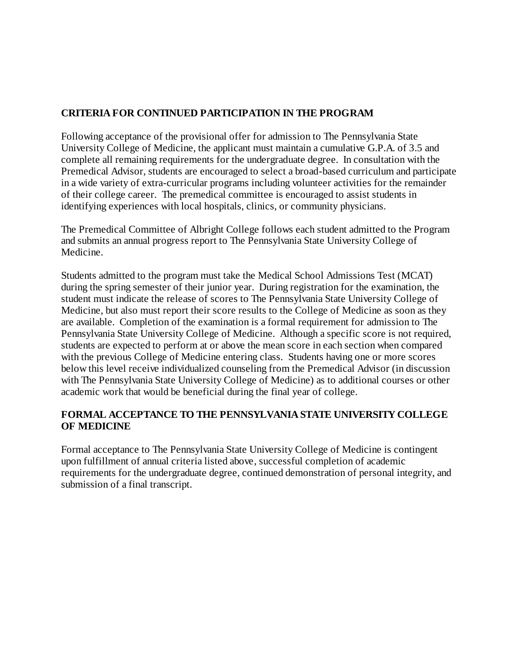## **CRITERIA FOR CONTINUED PARTICIPATION IN THE PROGRAM**

Following acceptance of the provisional offer for admission to The Pennsylvania State University College of Medicine, the applicant must maintain a cumulative G.P.A. of 3.5 and complete all remaining requirements for the undergraduate degree. In consultation with the Premedical Advisor, students are encouraged to select a broad-based curriculum and participate in a wide variety of extra-curricular programs including volunteer activities for the remainder of their college career. The premedical committee is encouraged to assist students in identifying experiences with local hospitals, clinics, or community physicians.

The Premedical Committee of Albright College follows each student admitted to the Program and submits an annual progress report to The Pennsylvania State University College of Medicine.

Students admitted to the program must take the Medical School Admissions Test (MCAT) during the spring semester of their junior year. During registration for the examination, the student must indicate the release of scores to The Pennsylvania State University College of Medicine, but also must report their score results to the College of Medicine as soon as they are available. Completion of the examination is a formal requirement for admission to The Pennsylvania State University College of Medicine. Although a specific score is not required, students are expected to perform at or above the mean score in each section when compared with the previous College of Medicine entering class. Students having one or more scores below this level receive individualized counseling from the Premedical Advisor (in discussion with The Pennsylvania State University College of Medicine) as to additional courses or other academic work that would be beneficial during the final year of college.

## **FORMAL ACCEPTANCE TO THE PENNSYLVANIA STATE UNIVERSITY COLLEGE OF MEDICINE**

Formal acceptance to The Pennsylvania State University College of Medicine is contingent upon fulfillment of annual criteria listed above, successful completion of academic requirements for the undergraduate degree, continued demonstration of personal integrity, and submission of a final transcript.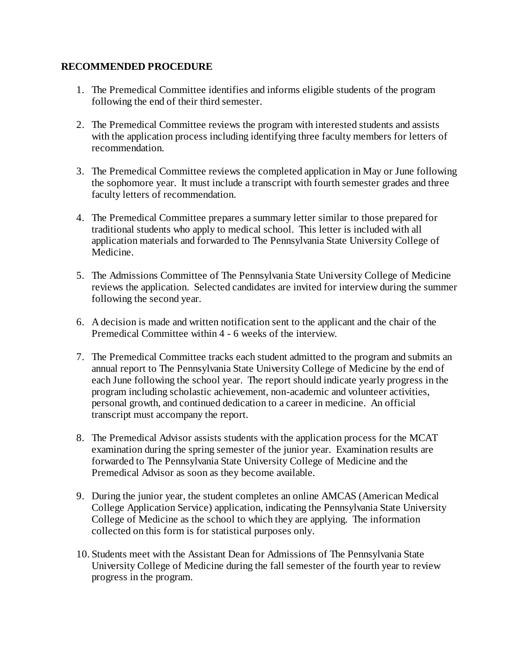#### **RECOMMENDED PROCEDURE**

- 1. The Premedical Committee identifies and informs eligible students of the program following the end of their third semester.
- 2. The Premedical Committee reviews the program with interested students and assists with the application process including identifying three faculty members for letters of recommendation.
- 3. The Premedical Committee reviews the completed application in May or June following the sophomore year. It must include a transcript with fourth semester grades and three faculty letters of recommendation.
- 4. The Premedical Committee prepares a summary letter similar to those prepared for traditional students who apply to medical school. This letter is included with all application materials and forwarded to The Pennsylvania State University College of Medicine.
- 5. The Admissions Committee of The Pennsylvania State University College of Medicine reviews the application. Selected candidates are invited for interview during the summer following the second year.
- 6. A decision is made and written notification sent to the applicant and the chair of the Premedical Committee within 4 - 6 weeks of the interview.
- 7. The Premedical Committee tracks each student admitted to the program and submits an annual report to The Pennsylvania State University College of Medicine by the end of each June following the school year. The report should indicate yearly progress in the program including scholastic achievement, non-academic and volunteer activities, personal growth, and continued dedication to a career in medicine. An official transcript must accompany the report.
- 8. The Premedical Advisor assists students with the application process for the MCAT examination during the spring semester of the junior year. Examination results are forwarded to The Pennsylvania State University College of Medicine and the Premedical Advisor as soon as they become available.
- 9. During the junior year, the student completes an online AMCAS (American Medical College Application Service) application, indicating the Pennsylvania State University College of Medicine as the school to which they are applying. The information collected on this form is for statistical purposes only.
- 10. Students meet with the Assistant Dean for Admissions of The Pennsylvania State University College of Medicine during the fall semester of the fourth year to review progress in the program.